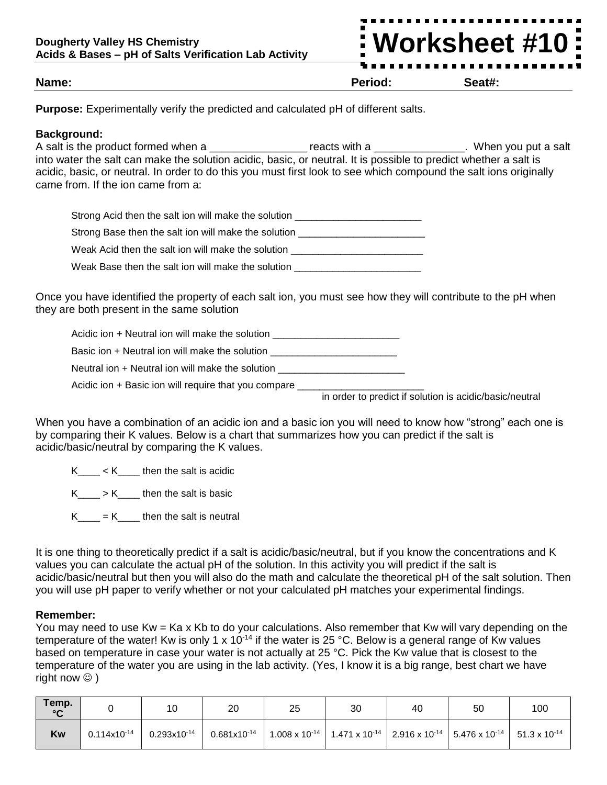# **Worksheet #10**

#### **Name: Period: Seat#:**

**Purpose:** Experimentally verify the predicted and calculated pH of different salts.

#### **Background:**

A salt is the product formed when a \_\_\_\_\_\_\_\_\_\_\_\_\_\_\_\_\_\_\_ reacts with a \_\_\_\_\_\_\_\_\_\_\_\_\_\_. When you put a salt into water the salt can make the solution acidic, basic, or neutral. It is possible to predict whether a salt is acidic, basic, or neutral. In order to do this you must first look to see which compound the salt ions originally came from. If the ion came from a:

| Strong Acid then the salt ion will make the solution |
|------------------------------------------------------|
| Strong Base then the salt ion will make the solution |
| Weak Acid then the salt ion will make the solution   |

Weak Base then the salt ion will make the solution

Once you have identified the property of each salt ion, you must see how they will contribute to the pH when they are both present in the same solution

Acidic ion + Neutral ion will make the solution

Basic ion + Neutral ion will make the solution \_\_\_\_\_\_\_\_\_\_\_\_\_\_\_\_\_\_\_\_\_\_\_\_\_\_\_\_\_\_\_\_\_

Neutral ion + Neutral ion will make the solution

Acidic ion + Basic ion will require that you compare \_\_\_\_\_

in order to predict if solution is acidic/basic/neutral

When you have a combination of an acidic ion and a basic ion you will need to know how "strong" each one is by comparing their K values. Below is a chart that summarizes how you can predict if the salt is acidic/basic/neutral by comparing the K values.

 $K \leq K$  then the salt is acidic

 $K_{\text{max}} > K_{\text{max}}$  then the salt is basic

 $K_{\text{max}} = K_{\text{max}}$  then the salt is neutral

It is one thing to theoretically predict if a salt is acidic/basic/neutral, but if you know the concentrations and K values you can calculate the actual pH of the solution. In this activity you will predict if the salt is acidic/basic/neutral but then you will also do the math and calculate the theoretical pH of the salt solution. Then you will use pH paper to verify whether or not your calculated pH matches your experimental findings.

### **Remember:**

You may need to use Kw = Ka x Kb to do your calculations. Also remember that Kw will vary depending on the temperature of the water! Kw is only 1 x 10<sup>-14</sup> if the water is 25 °C. Below is a general range of Kw values based on temperature in case your water is not actually at 25 °C. Pick the Kw value that is closest to the temperature of the water you are using in the lab activity. (Yes, I know it is a big range, best chart we have right now  $\circledcirc$  )

| Temp.<br>$\sim$ |                  | 10               | 20               | 25 | 30 | 40 | 50                                                                                                                                     | 100 |
|-----------------|------------------|------------------|------------------|----|----|----|----------------------------------------------------------------------------------------------------------------------------------------|-----|
| Kw              | $0.114x10^{-14}$ | $0.293x10^{-14}$ | $0.681x10^{-14}$ |    |    |    | $1.008 \times 10^{-14}$   1.471 x 10 <sup>-14</sup>   2.916 x 10 <sup>-14</sup>   5.476 x 10 <sup>-14</sup>   51.3 x 10 <sup>-14</sup> |     |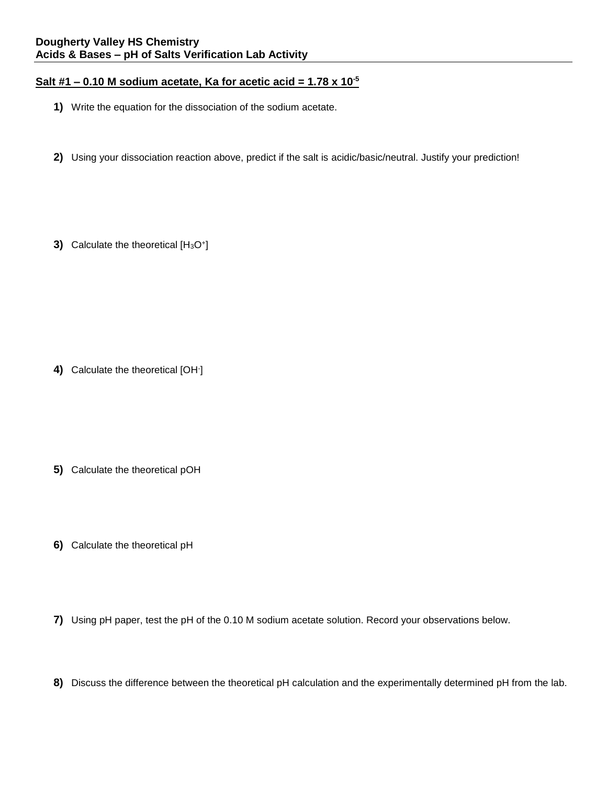## **Salt #1 – 0.10 M sodium acetate, Ka for acetic acid = 1.78 x 10-5**

- **1)** Write the equation for the dissociation of the sodium acetate.
- **2)** Using your dissociation reaction above, predict if the salt is acidic/basic/neutral. Justify your prediction!
- **3)** Calculate the theoretical [H<sub>3</sub>O<sup>+</sup>]

**4)** Calculate the theoretical [OH- ]

- **5)** Calculate the theoretical pOH
- **6)** Calculate the theoretical pH
- **7)** Using pH paper, test the pH of the 0.10 M sodium acetate solution. Record your observations below.
- **8)** Discuss the difference between the theoretical pH calculation and the experimentally determined pH from the lab.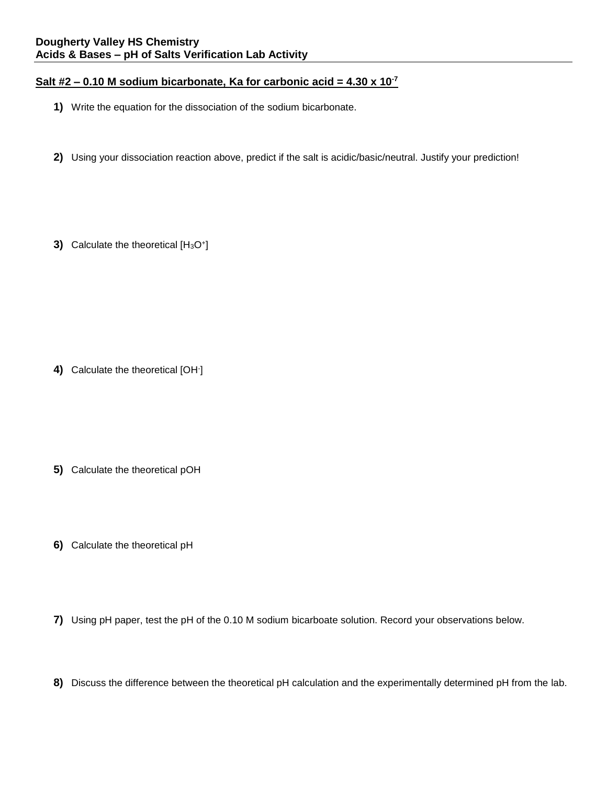## **Salt #2 – 0.10 M sodium bicarbonate, Ka for carbonic acid = 4.30 x 10-7**

- **1)** Write the equation for the dissociation of the sodium bicarbonate.
- **2)** Using your dissociation reaction above, predict if the salt is acidic/basic/neutral. Justify your prediction!
- **3)** Calculate the theoretical [H<sub>3</sub>O<sup>+</sup>]

**4)** Calculate the theoretical [OH- ]

- **5)** Calculate the theoretical pOH
- **6)** Calculate the theoretical pH
- **7)** Using pH paper, test the pH of the 0.10 M sodium bicarboate solution. Record your observations below.
- **8)** Discuss the difference between the theoretical pH calculation and the experimentally determined pH from the lab.